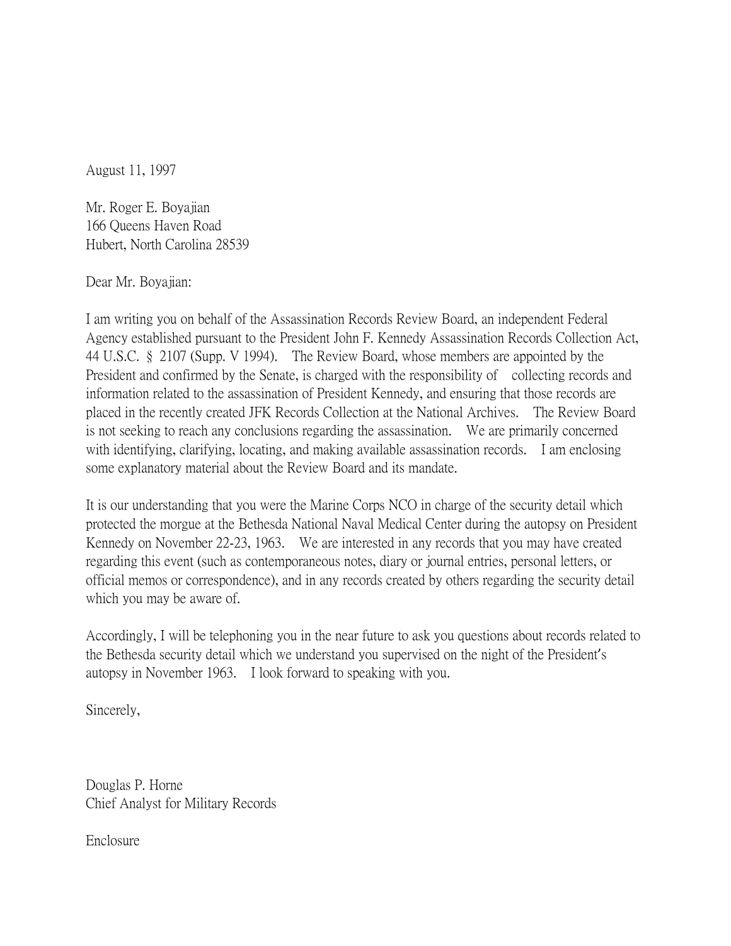August 11, 1997

Mr. Roger E. Boyajian 166 Queens Haven Road Hubert, North Carolina 28539

Dear Mr. Boyajian:

I am writing you on behalf of the Assassination Records Review Board, an independent Federal Agency established pursuant to the President John F. Kennedy Assassination Records Collection Act, 44 U.S.C. § 2107 (Supp. V 1994). The Review Board, whose members are appointed by the President and confirmed by the Senate, is charged with the responsibility of collecting records and information related to the assassination of President Kennedy, and ensuring that those records are placed in the recently created JFK Records Collection at the National Archives. The Review Board is not seeking to reach any conclusions regarding the assassination. We are primarily concerned with identifying, clarifying, locating, and making available assassination records. I am enclosing some explanatory material about the Review Board and its mandate.

It is our understanding that you were the Marine Corps NCO in charge of the security detail which protected the morgue at the Bethesda National Naval Medical Center during the autopsy on President Kennedy on November 22-23, 1963. We are interested in any records that you may have created regarding this event (such as contemporaneous notes, diary or journal entries, personal letters, or official memos or correspondence), and in any records created by others regarding the security detail which you may be aware of.

Accordingly, I will be telephoning you in the near future to ask you questions about records related to the Bethesda security detail which we understand you supervised on the night of the President's autopsy in November 1963. I look forward to speaking with you.

Sincerely,

Douglas P. Horne Chief Analyst for Military Records

Enclosure